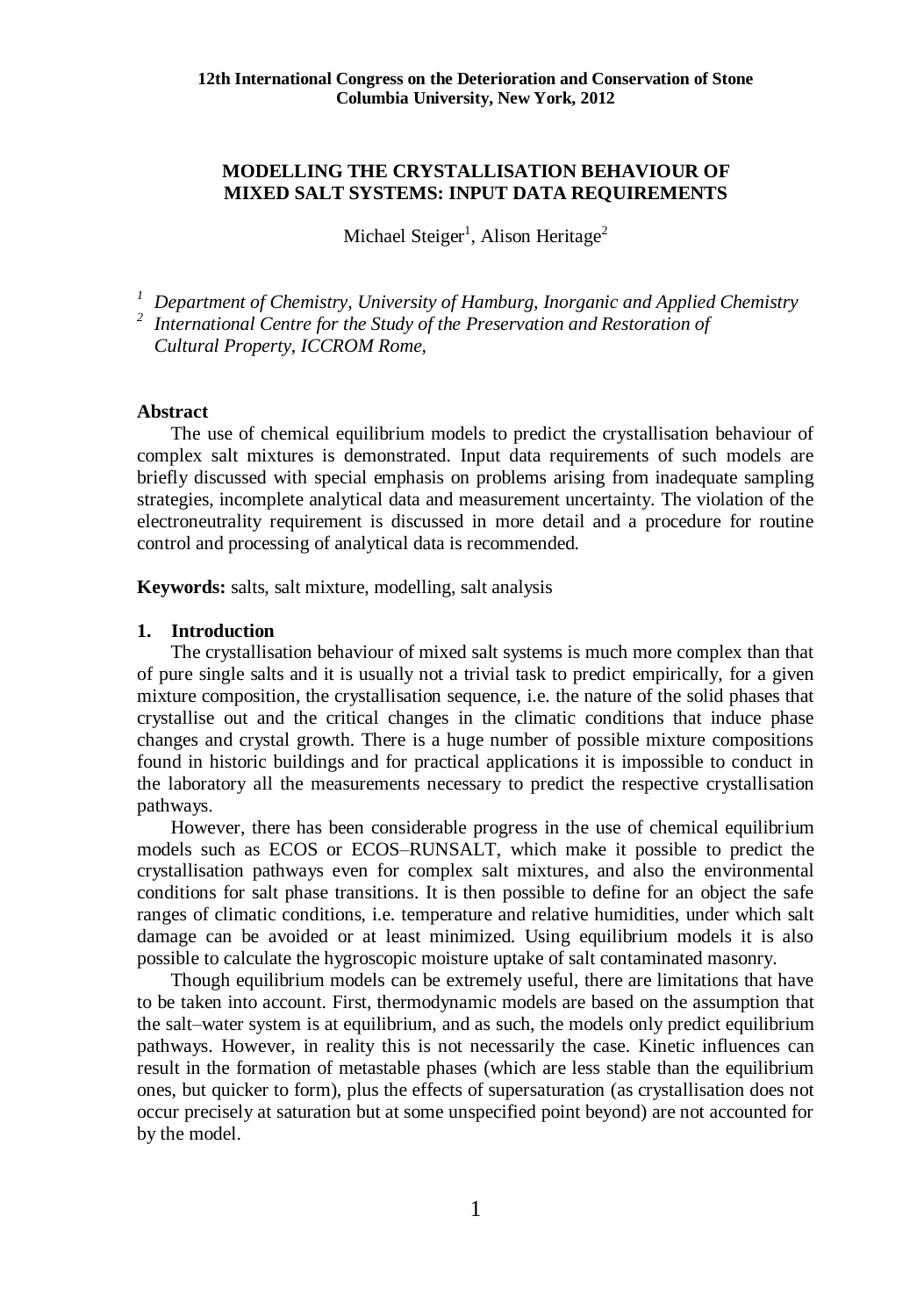# **MODELLING THE CRYSTALLISATION BEHAVIOUR OF MIXED SALT SYSTEMS: INPUT DATA REQUIREMENTS**

Michael Steiger<sup>1</sup>, Alison Heritage<sup>2</sup>

*<sup>1</sup> Department of Chemistry, University of Hamburg, Inorganic and Applied Chemistry*

<sup>2</sup> International Centre for the Study of the Preservation and Restoration of *Cultural Property, ICCROM Rome,* 

### **Abstract**

The use of chemical equilibrium models to predict the crystallisation behaviour of complex salt mixtures is demonstrated. Input data requirements of such models are briefly discussed with special emphasis on problems arising from inadequate sampling strategies, incomplete analytical data and measurement uncertainty. The violation of the electroneutrality requirement is discussed in more detail and a procedure for routine control and processing of analytical data is recommended.

**Keywords:** salts, salt mixture, modelling, salt analysis

### **1. Introduction**

The crystallisation behaviour of mixed salt systems is much more complex than that of pure single salts and it is usually not a trivial task to predict empirically, for a given mixture composition, the crystallisation sequence, i.e. the nature of the solid phases that crystallise out and the critical changes in the climatic conditions that induce phase changes and crystal growth. There is a huge number of possible mixture compositions found in historic buildings and for practical applications it is impossible to conduct in the laboratory all the measurements necessary to predict the respective crystallisation pathways.

However, there has been considerable progress in the use of chemical equilibrium models such as ECOS or ECOS–RUNSALT, which make it possible to predict the crystallisation pathways even for complex salt mixtures, and also the environmental conditions for salt phase transitions. It is then possible to define for an object the safe ranges of climatic conditions, i.e. temperature and relative humidities, under which salt damage can be avoided or at least minimized. Using equilibrium models it is also possible to calculate the hygroscopic moisture uptake of salt contaminated masonry.

Though equilibrium models can be extremely useful, there are limitations that have to be taken into account. First, thermodynamic models are based on the assumption that the salt–water system is at equilibrium, and as such, the models only predict equilibrium pathways. However, in reality this is not necessarily the case. Kinetic influences can result in the formation of metastable phases (which are less stable than the equilibrium ones, but quicker to form), plus the effects of supersaturation (as crystallisation does not occur precisely at saturation but at some unspecified point beyond) are not accounted for by the model.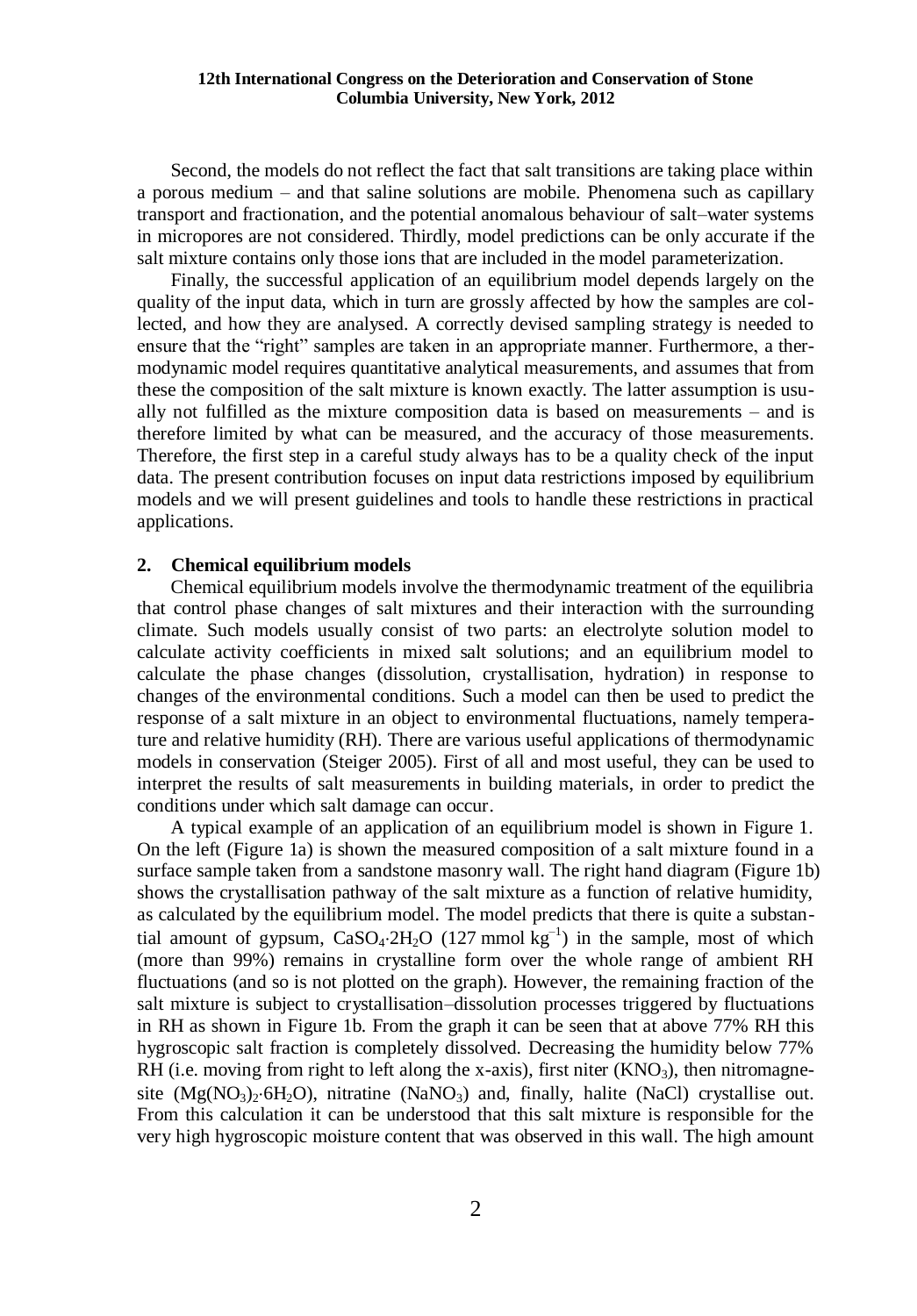Second, the models do not reflect the fact that salt transitions are taking place within a porous medium – and that saline solutions are mobile. Phenomena such as capillary transport and fractionation, and the potential anomalous behaviour of salt–water systems in micropores are not considered. Thirdly, model predictions can be only accurate if the salt mixture contains only those ions that are included in the model parameterization.

Finally, the successful application of an equilibrium model depends largely on the quality of the input data, which in turn are grossly affected by how the samples are collected, and how they are analysed. A correctly devised sampling strategy is needed to ensure that the "right" samples are taken in an appropriate manner. Furthermore, a thermodynamic model requires quantitative analytical measurements, and assumes that from these the composition of the salt mixture is known exactly. The latter assumption is usually not fulfilled as the mixture composition data is based on measurements – and is therefore limited by what can be measured, and the accuracy of those measurements. Therefore, the first step in a careful study always has to be a quality check of the input data. The present contribution focuses on input data restrictions imposed by equilibrium models and we will present guidelines and tools to handle these restrictions in practical applications.

#### **2. Chemical equilibrium models**

Chemical equilibrium models involve the thermodynamic treatment of the equilibria that control phase changes of salt mixtures and their interaction with the surrounding climate. Such models usually consist of two parts: an electrolyte solution model to calculate activity coefficients in mixed salt solutions; and an equilibrium model to calculate the phase changes (dissolution, crystallisation, hydration) in response to changes of the environmental conditions. Such a model can then be used to predict the response of a salt mixture in an object to environmental fluctuations, namely temperature and relative humidity (RH). There are various useful applications of thermodynamic models in conservation (Steiger 2005). First of all and most useful, they can be used to interpret the results of salt measurements in building materials, in order to predict the conditions under which salt damage can occur.

A typical example of an application of an equilibrium model is shown in Figure 1. On the left (Figure 1a) is shown the measured composition of a salt mixture found in a surface sample taken from a sandstone masonry wall. The right hand diagram (Figure 1b) shows the crystallisation pathway of the salt mixture as a function of relative humidity, as calculated by the equilibrium model. The model predicts that there is quite a substantial amount of gypsum,  $CaSO_4.2H_2O$  (127 mmol  $kg^{-1}$ ) in the sample, most of which (more than 99%) remains in crystalline form over the whole range of ambient RH fluctuations (and so is not plotted on the graph). However, the remaining fraction of the salt mixture is subject to crystallisation–dissolution processes triggered by fluctuations in RH as shown in Figure 1b. From the graph it can be seen that at above 77% RH this hygroscopic salt fraction is completely dissolved. Decreasing the humidity below 77% RH (i.e. moving from right to left along the x-axis), first niter  $(KNO<sub>3</sub>)$ , then nitromagnesite  $(Mg(NO<sub>3</sub>)<sub>2</sub>·6H<sub>2</sub>O)$ , nitratine  $(NaNO<sub>3</sub>)$  and, finally, halite (NaCl) crystallise out. From this calculation it can be understood that this salt mixture is responsible for the very high hygroscopic moisture content that was observed in this wall. The high amount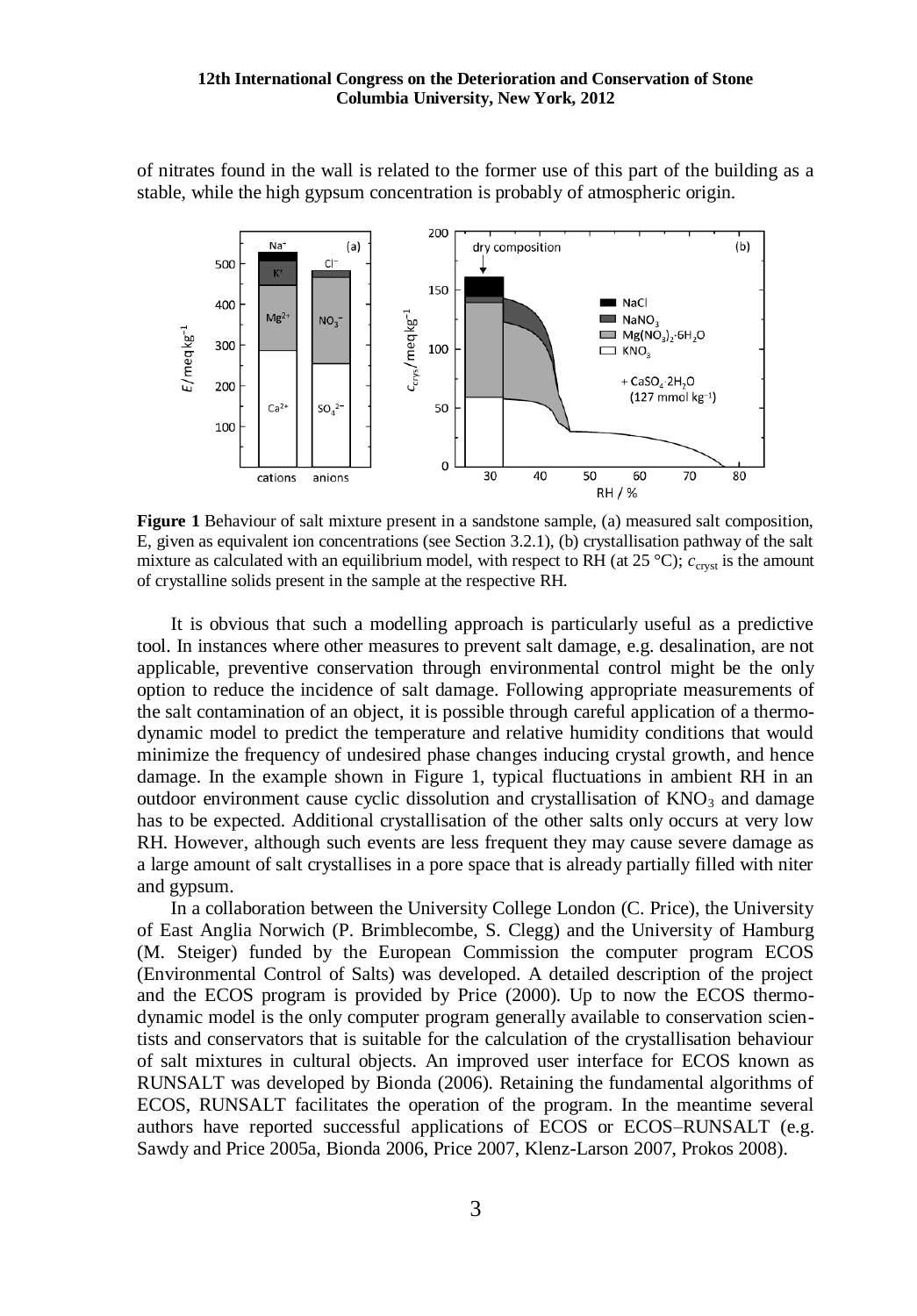of nitrates found in the wall is related to the former use of this part of the building as a stable, while the high gypsum concentration is probably of atmospheric origin.



**Figure 1** Behaviour of salt mixture present in a sandstone sample, (a) measured salt composition, E, given as equivalent ion concentrations (see Section 3.2.1), (b) crystallisation pathway of the salt mixture as calculated with an equilibrium model, with respect to RH (at 25 °C);  $c_{\text{cryst}}$  is the amount of crystalline solids present in the sample at the respective RH.

It is obvious that such a modelling approach is particularly useful as a predictive tool. In instances where other measures to prevent salt damage, e.g. desalination, are not applicable, preventive conservation through environmental control might be the only option to reduce the incidence of salt damage. Following appropriate measurements of the salt contamination of an object, it is possible through careful application of a thermodynamic model to predict the temperature and relative humidity conditions that would minimize the frequency of undesired phase changes inducing crystal growth, and hence damage. In the example shown in Figure 1, typical fluctuations in ambient RH in an outdoor environment cause cyclic dissolution and crystallisation of  $KNO<sub>3</sub>$  and damage has to be expected. Additional crystallisation of the other salts only occurs at very low RH. However, although such events are less frequent they may cause severe damage as a large amount of salt crystallises in a pore space that is already partially filled with niter and gypsum.

In a collaboration between the University College London (C. Price), the University of East Anglia Norwich (P. Brimblecombe, S. Clegg) and the University of Hamburg (M. Steiger) funded by the European Commission the computer program ECOS (Environmental Control of Salts) was developed. A detailed description of the project and the ECOS program is provided by Price (2000). Up to now the ECOS thermodynamic model is the only computer program generally available to conservation scientists and conservators that is suitable for the calculation of the crystallisation behaviour of salt mixtures in cultural objects. An improved user interface for ECOS known as RUNSALT was developed by Bionda (2006). Retaining the fundamental algorithms of ECOS, RUNSALT facilitates the operation of the program. In the meantime several authors have reported successful applications of ECOS or ECOS–RUNSALT (e.g. Sawdy and Price 2005a, Bionda 2006, Price 2007, Klenz-Larson 2007, Prokos 2008).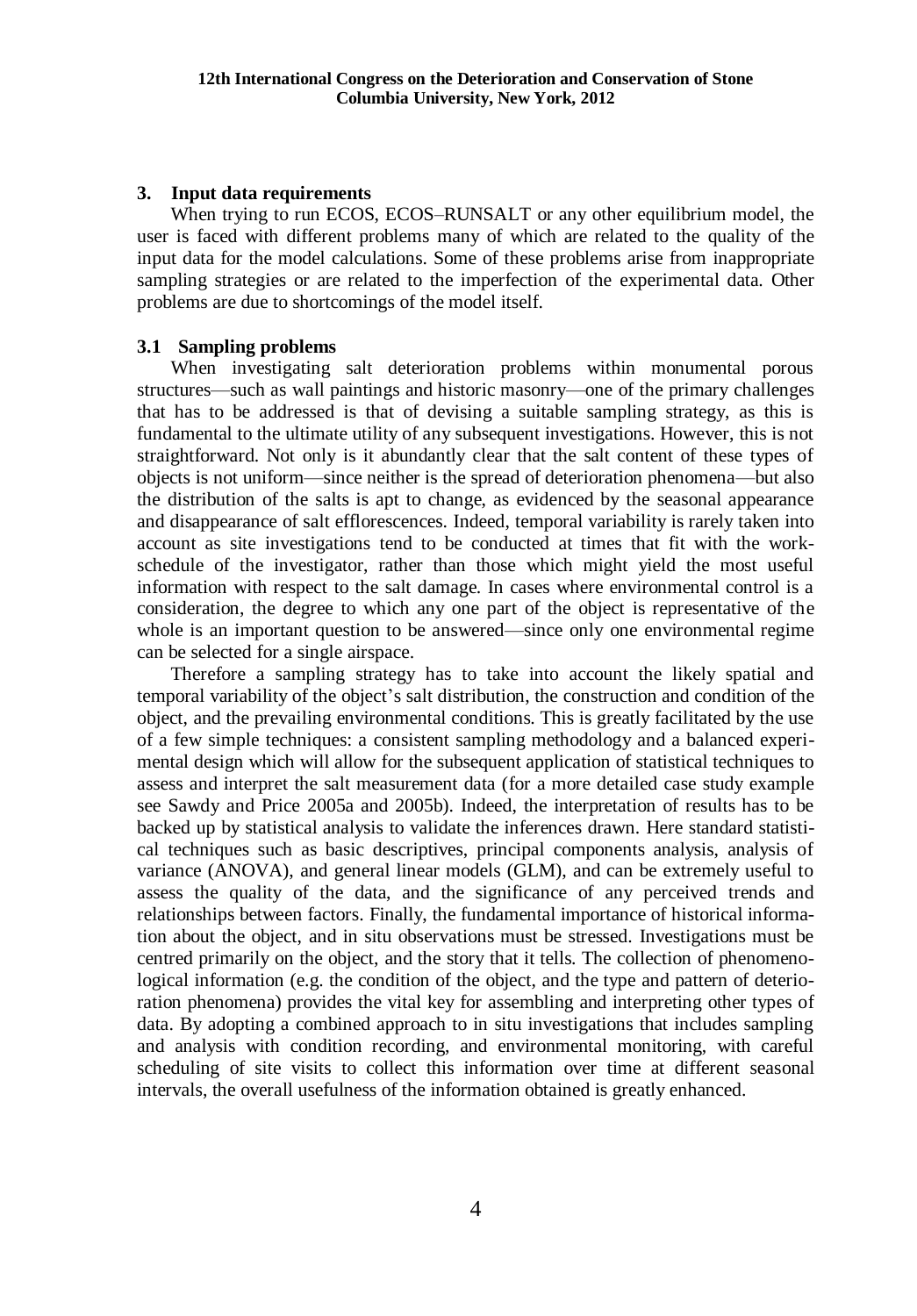# **3. Input data requirements**

When trying to run ECOS, ECOS–RUNSALT or any other equilibrium model, the user is faced with different problems many of which are related to the quality of the input data for the model calculations. Some of these problems arise from inappropriate sampling strategies or are related to the imperfection of the experimental data. Other problems are due to shortcomings of the model itself.

# **3.1 Sampling problems**

When investigating salt deterioration problems within monumental porous structures—such as wall paintings and historic masonry—one of the primary challenges that has to be addressed is that of devising a suitable sampling strategy, as this is fundamental to the ultimate utility of any subsequent investigations. However, this is not straightforward. Not only is it abundantly clear that the salt content of these types of objects is not uniform—since neither is the spread of deterioration phenomena—but also the distribution of the salts is apt to change, as evidenced by the seasonal appearance and disappearance of salt efflorescences. Indeed, temporal variability is rarely taken into account as site investigations tend to be conducted at times that fit with the workschedule of the investigator, rather than those which might yield the most useful information with respect to the salt damage. In cases where environmental control is a consideration, the degree to which any one part of the object is representative of the whole is an important question to be answered—since only one environmental regime can be selected for a single airspace.

Therefore a sampling strategy has to take into account the likely spatial and temporal variability of the object's salt distribution, the construction and condition of the object, and the prevailing environmental conditions. This is greatly facilitated by the use of a few simple techniques: a consistent sampling methodology and a balanced experimental design which will allow for the subsequent application of statistical techniques to assess and interpret the salt measurement data (for a more detailed case study example see Sawdy and Price 2005a and 2005b). Indeed, the interpretation of results has to be backed up by statistical analysis to validate the inferences drawn. Here standard statistical techniques such as basic descriptives, principal components analysis, analysis of variance (ANOVA), and general linear models (GLM), and can be extremely useful to assess the quality of the data, and the significance of any perceived trends and relationships between factors. Finally, the fundamental importance of historical information about the object, and in situ observations must be stressed. Investigations must be centred primarily on the object, and the story that it tells. The collection of phenomenological information (e.g. the condition of the object, and the type and pattern of deterioration phenomena) provides the vital key for assembling and interpreting other types of data. By adopting a combined approach to in situ investigations that includes sampling and analysis with condition recording, and environmental monitoring, with careful scheduling of site visits to collect this information over time at different seasonal intervals, the overall usefulness of the information obtained is greatly enhanced.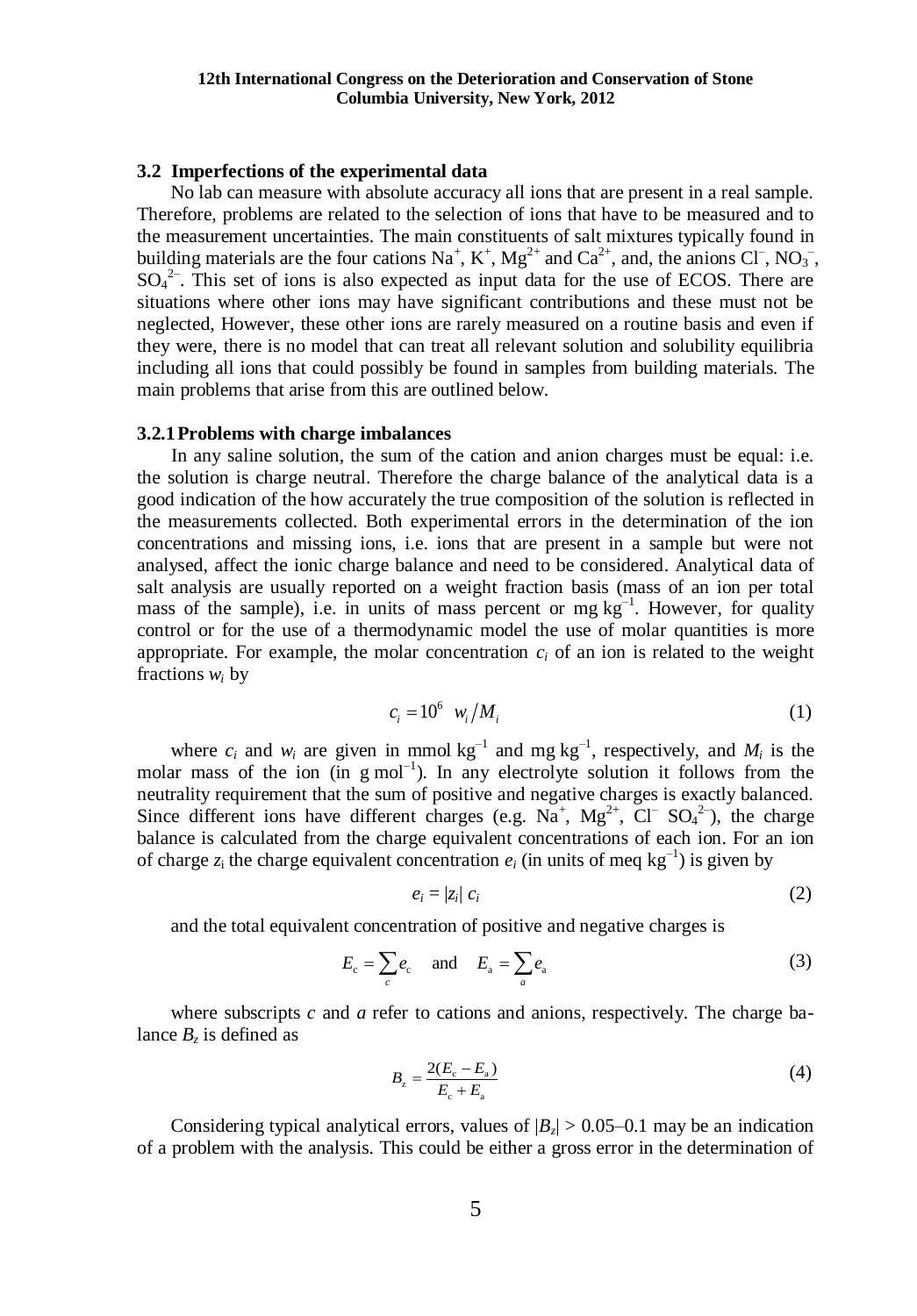### **3.2 Imperfections of the experimental data**

No lab can measure with absolute accuracy all ions that are present in a real sample. Therefore, problems are related to the selection of ions that have to be measured and to the measurement uncertainties. The main constituents of salt mixtures typically found in building materials are the four cations  $\text{Na}^+$ ,  $\text{K}^+$ ,  $\text{Mg}^{2+}$  and  $\text{Ca}^{2+}$ , and, the anions Cl<sup>-</sup>, NO<sub>3</sub><sup>-</sup>,  $SO_4^2$ . This set of ions is also expected as input data for the use of ECOS. There are situations where other ions may have significant contributions and these must not be neglected, However, these other ions are rarely measured on a routine basis and even if they were, there is no model that can treat all relevant solution and solubility equilibria including all ions that could possibly be found in samples from building materials. The main problems that arise from this are outlined below.

### **3.2.1Problems with charge imbalances**

In any saline solution, the sum of the cation and anion charges must be equal: i.e. the solution is charge neutral. Therefore the charge balance of the analytical data is a good indication of the how accurately the true composition of the solution is reflected in the measurements collected. Both experimental errors in the determination of the ion concentrations and missing ions, i.e. ions that are present in a sample but were not analysed, affect the ionic charge balance and need to be considered. Analytical data of salt analysis are usually reported on a weight fraction basis (mass of an ion per total mass of the sample), i.e. in units of mass percent or  $mg \, kg^{-1}$ . However, for quality control or for the use of a thermodynamic model the use of molar quantities is more appropriate. For example, the molar concentration  $c_i$  of an ion is related to the weight fractions *w<sup>i</sup>* by

$$
c_i = 10^6 \ \mathcal{W}_i / M_i \tag{1}
$$

where  $c_i$  and  $w_i$  are given in mmol  $kg^{-1}$  and mg  $kg^{-1}$ , respectively, and  $M_i$  is the molar mass of the ion  $(in g mol^{-1})$ . In any electrolyte solution it follows from the neutrality requirement that the sum of positive and negative charges is exactly balanced. Since different ions have different charges (e.g.  $Na^+$ ,  $Mg^{2+}$ ,  $Cl^ SO_4^2^-$ ), the charge balance is calculated from the charge equivalent concentrations of each ion. For an ion of charge  $z_i$  the charge equivalent concentration  $e_i$  (in units of meq kg<sup>-1</sup>) is given by

$$
e_i = |z_i| \ c_i \tag{2}
$$

and the total equivalent concentration of positive and negative charges is

c c a a and *c a E e E e* (3)

where subscripts *c* and *a* refer to cations and anions, respectively. The charge balance  $B_z$  is defined as  $\frac{2(E_c - E_a)}{E_c - E_b}$ 

$$
B_{z} = \frac{2(E_{c} - E_{a})}{E_{c} + E_{a}}
$$
\n(4)

Considering typical analytical errors, values of  $|B_z| > 0.05-0.1$  may be an indication of a problem with the analysis. This could be either a gross error in the determination of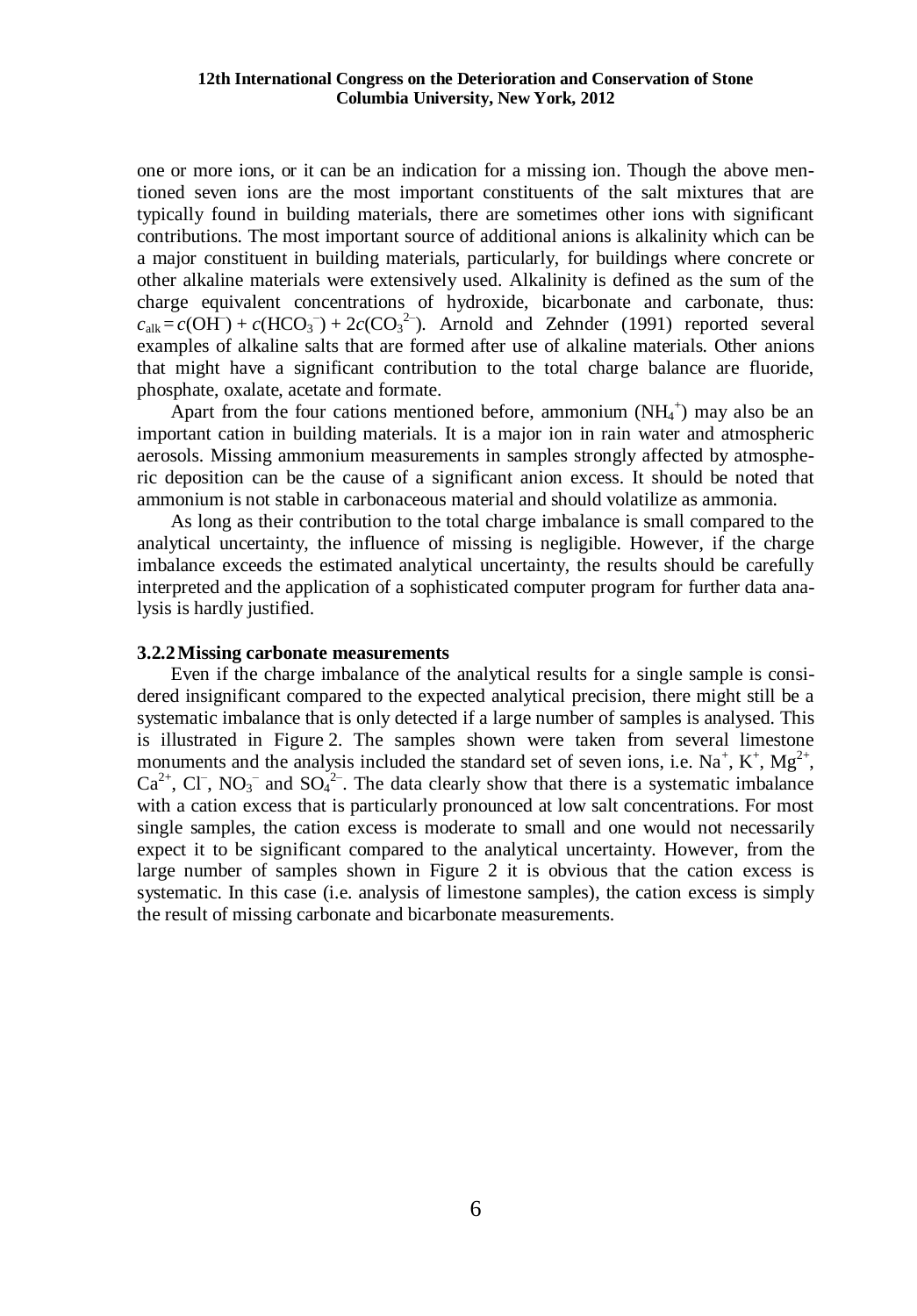one or more ions, or it can be an indication for a missing ion. Though the above mentioned seven ions are the most important constituents of the salt mixtures that are typically found in building materials, there are sometimes other ions with significant contributions. The most important source of additional anions is alkalinity which can be a major constituent in building materials, particularly, for buildings where concrete or other alkaline materials were extensively used. Alkalinity is defined as the sum of the charge equivalent concentrations of hydroxide, bicarbonate and carbonate, thus:  $c_{\text{alk}} = c(\overrightarrow{OH}) + c(\overrightarrow{HCO_3}) + 2c(\overrightarrow{CO_3}^2)$ . Arnold and Zehnder (1991) reported several examples of alkaline salts that are formed after use of alkaline materials. Other anions that might have a significant contribution to the total charge balance are fluoride, phosphate, oxalate, acetate and formate.

Apart from the four cations mentioned before, ammonium  $(NH_4^+)$  may also be an important cation in building materials. It is a major ion in rain water and atmospheric aerosols. Missing ammonium measurements in samples strongly affected by atmospheric deposition can be the cause of a significant anion excess. It should be noted that ammonium is not stable in carbonaceous material and should volatilize as ammonia.

As long as their contribution to the total charge imbalance is small compared to the analytical uncertainty, the influence of missing is negligible. However, if the charge imbalance exceeds the estimated analytical uncertainty, the results should be carefully interpreted and the application of a sophisticated computer program for further data analysis is hardly justified.

#### **3.2.2Missing carbonate measurements**

Even if the charge imbalance of the analytical results for a single sample is considered insignificant compared to the expected analytical precision, there might still be a systematic imbalance that is only detected if a large number of samples is analysed. This is illustrated in Figure 2. The samples shown were taken from several limestone monuments and the analysis included the standard set of seven ions, i.e.  $Na^{+}$ ,  $K^{+}$ ,  $Mg^{2+}$ ,  $Ca^{2+}$ , Cl<sup>-</sup>, NO<sub>3</sub><sup>-</sup> and SO<sub>4</sub><sup>2-</sup>. The data clearly show that there is a systematic imbalance with a cation excess that is particularly pronounced at low salt concentrations. For most single samples, the cation excess is moderate to small and one would not necessarily expect it to be significant compared to the analytical uncertainty. However, from the large number of samples shown in Figure 2 it is obvious that the cation excess is systematic. In this case (i.e. analysis of limestone samples), the cation excess is simply the result of missing carbonate and bicarbonate measurements.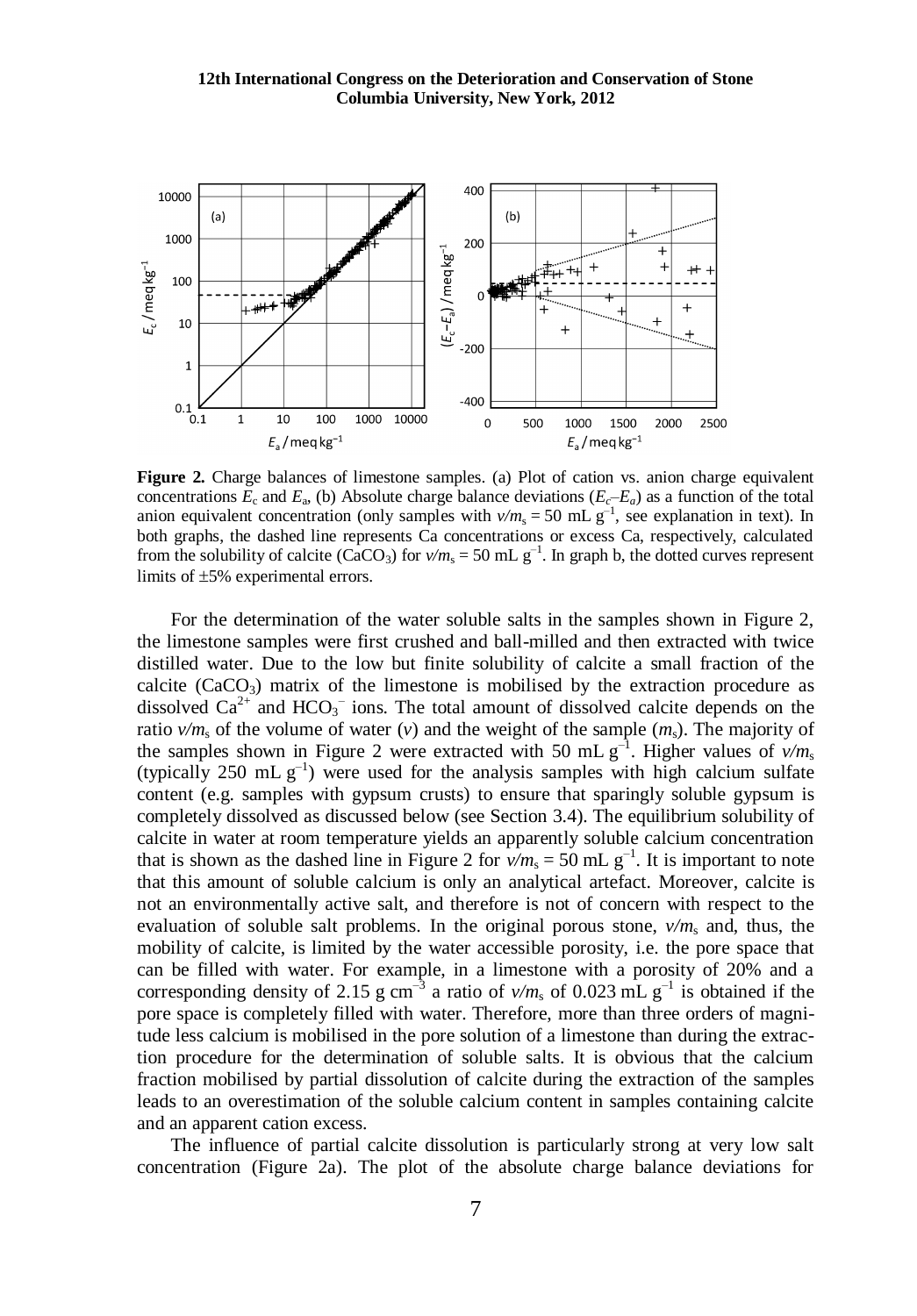

**Figure 2.** Charge balances of limestone samples. (a) Plot of cation vs. anion charge equivalent concentrations  $E_c$  and  $E_a$ , (b) Absolute charge balance deviations  $(E_c-E_a)$  as a function of the total anion equivalent concentration (only samples with  $v/m_s = 50$  mL  $g^{-1}$ , see explanation in text). In both graphs, the dashed line represents Ca concentrations or excess Ca, respectively, calculated from the solubility of calcite (CaCO<sub>3</sub>) for  $v/m_s = 50$  mL  $g^{-1}$ . In graph b, the dotted curves represent limits of  $\pm 5\%$  experimental errors.

For the determination of the water soluble salts in the samples shown in Figure 2, the limestone samples were first crushed and ball-milled and then extracted with twice distilled water. Due to the low but finite solubility of calcite a small fraction of the calcite  $(CaCO<sub>3</sub>)$  matrix of the limestone is mobilised by the extraction procedure as dissolved  $Ca^{2+}$  and  $HCO_3^-$  ions. The total amount of dissolved calcite depends on the ratio  $v/m_s$  of the volume of water (*v*) and the weight of the sample  $(m_s)$ . The majority of the samples shown in Figure 2 were extracted with 50 mL  $g^{-1}$ . Higher values of  $v/m_s$ (typically 250 mL  $g^{-1}$ ) were used for the analysis samples with high calcium sulfate content (e.g. samples with gypsum crusts) to ensure that sparingly soluble gypsum is completely dissolved as discussed below (see Section 3.4). The equilibrium solubility of calcite in water at room temperature yields an apparently soluble calcium concentration that is shown as the dashed line in Figure 2 for  $v/m_s = 50$  mL g<sup>-1</sup>. It is important to note that this amount of soluble calcium is only an analytical artefact. Moreover, calcite is not an environmentally active salt, and therefore is not of concern with respect to the evaluation of soluble salt problems. In the original porous stone,  $v/m_s$  and, thus, the mobility of calcite, is limited by the water accessible porosity, i.e. the pore space that can be filled with water. For example, in a limestone with a porosity of 20% and a corresponding density of 2.15 g cm<sup>-3</sup> a ratio of  $v/m_s$  of 0.023 mL g<sup>-1</sup> is obtained if the pore space is completely filled with water. Therefore, more than three orders of magnitude less calcium is mobilised in the pore solution of a limestone than during the extraction procedure for the determination of soluble salts. It is obvious that the calcium fraction mobilised by partial dissolution of calcite during the extraction of the samples leads to an overestimation of the soluble calcium content in samples containing calcite and an apparent cation excess.

The influence of partial calcite dissolution is particularly strong at very low salt concentration (Figure 2a). The plot of the absolute charge balance deviations for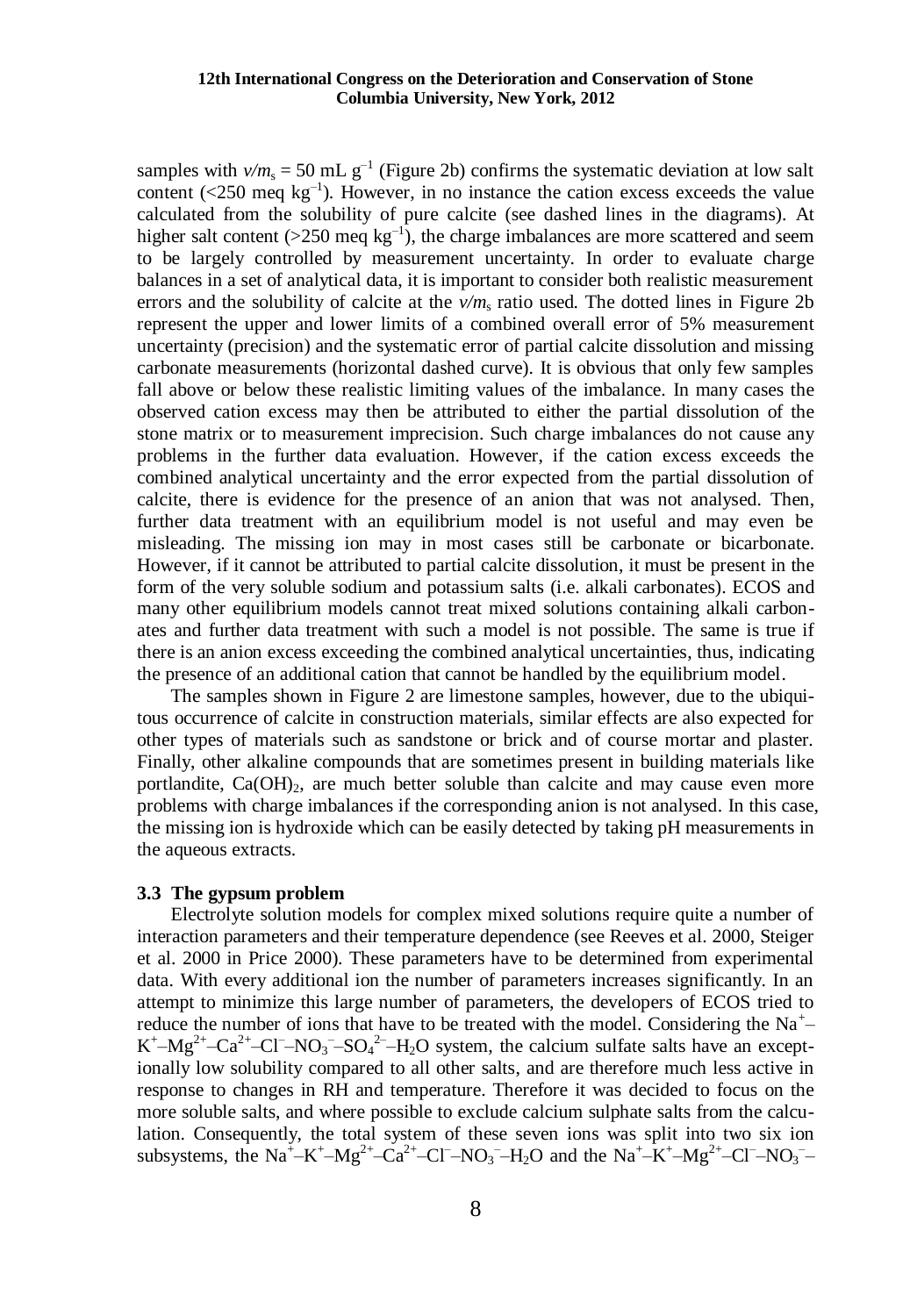### **12th International Congress on the Deterioration and Conservation of Stone Columbia University, New York, 2012**

samples with  $v/m_s = 50$  mL  $g^{-1}$  (Figure 2b) confirms the systematic deviation at low salt content  $(\leq 250 \text{ meq kg}^{-1})$ . However, in no instance the cation excess exceeds the value calculated from the solubility of pure calcite (see dashed lines in the diagrams). At higher salt content ( $>$ 250 meq kg<sup>-1</sup>), the charge imbalances are more scattered and seem to be largely controlled by measurement uncertainty. In order to evaluate charge balances in a set of analytical data, it is important to consider both realistic measurement errors and the solubility of calcite at the  $v/m<sub>s</sub>$  ratio used. The dotted lines in Figure 2b represent the upper and lower limits of a combined overall error of 5% measurement uncertainty (precision) and the systematic error of partial calcite dissolution and missing carbonate measurements (horizontal dashed curve). It is obvious that only few samples fall above or below these realistic limiting values of the imbalance. In many cases the observed cation excess may then be attributed to either the partial dissolution of the stone matrix or to measurement imprecision. Such charge imbalances do not cause any problems in the further data evaluation. However, if the cation excess exceeds the combined analytical uncertainty and the error expected from the partial dissolution of calcite, there is evidence for the presence of an anion that was not analysed. Then, further data treatment with an equilibrium model is not useful and may even be misleading. The missing ion may in most cases still be carbonate or bicarbonate. However, if it cannot be attributed to partial calcite dissolution, it must be present in the form of the very soluble sodium and potassium salts (i.e. alkali carbonates). ECOS and many other equilibrium models cannot treat mixed solutions containing alkali carbonates and further data treatment with such a model is not possible. The same is true if there is an anion excess exceeding the combined analytical uncertainties, thus, indicating the presence of an additional cation that cannot be handled by the equilibrium model.

The samples shown in Figure 2 are limestone samples, however, due to the ubiquitous occurrence of calcite in construction materials, similar effects are also expected for other types of materials such as sandstone or brick and of course mortar and plaster. Finally, other alkaline compounds that are sometimes present in building materials like portlandite,  $Ca(OH)_{2}$ , are much better soluble than calcite and may cause even more problems with charge imbalances if the corresponding anion is not analysed. In this case, the missing ion is hydroxide which can be easily detected by taking pH measurements in the aqueous extracts.

#### **3.3 The gypsum problem**

Electrolyte solution models for complex mixed solutions require quite a number of interaction parameters and their temperature dependence (see Reeves et al. 2000, Steiger et al. 2000 in Price 2000). These parameters have to be determined from experimental data. With every additional ion the number of parameters increases significantly. In an attempt to minimize this large number of parameters, the developers of ECOS tried to reduce the number of ions that have to be treated with the model. Considering the Na<sup>+</sup> $K^+$ - $Mg^{2+}$ - $Ca^{2+}$ -Cl<sup>-</sup>-NO<sub>3</sub><sup>-</sup>-SO<sub>4</sub><sup>2-</sup>-H<sub>2</sub>O system, the calcium sulfate salts have an exceptionally low solubility compared to all other salts, and are therefore much less active in response to changes in RH and temperature. Therefore it was decided to focus on the more soluble salts, and where possible to exclude calcium sulphate salts from the calculation. Consequently, the total system of these seven ions was split into two six ion subsystems, the Na<sup>+</sup>-K<sup>+</sup>-Mg<sup>2+</sup>-Ca<sup>2+</sup>-Cl<sup>-</sup>-NO<sub>3</sub><sup>-</sup>-H<sub>2</sub>O and the Na<sup>+</sup>-K<sup>+</sup>-Mg<sup>2+</sup>-Cl<sup>-</sup>-NO<sub>3</sub><sup>-</sup>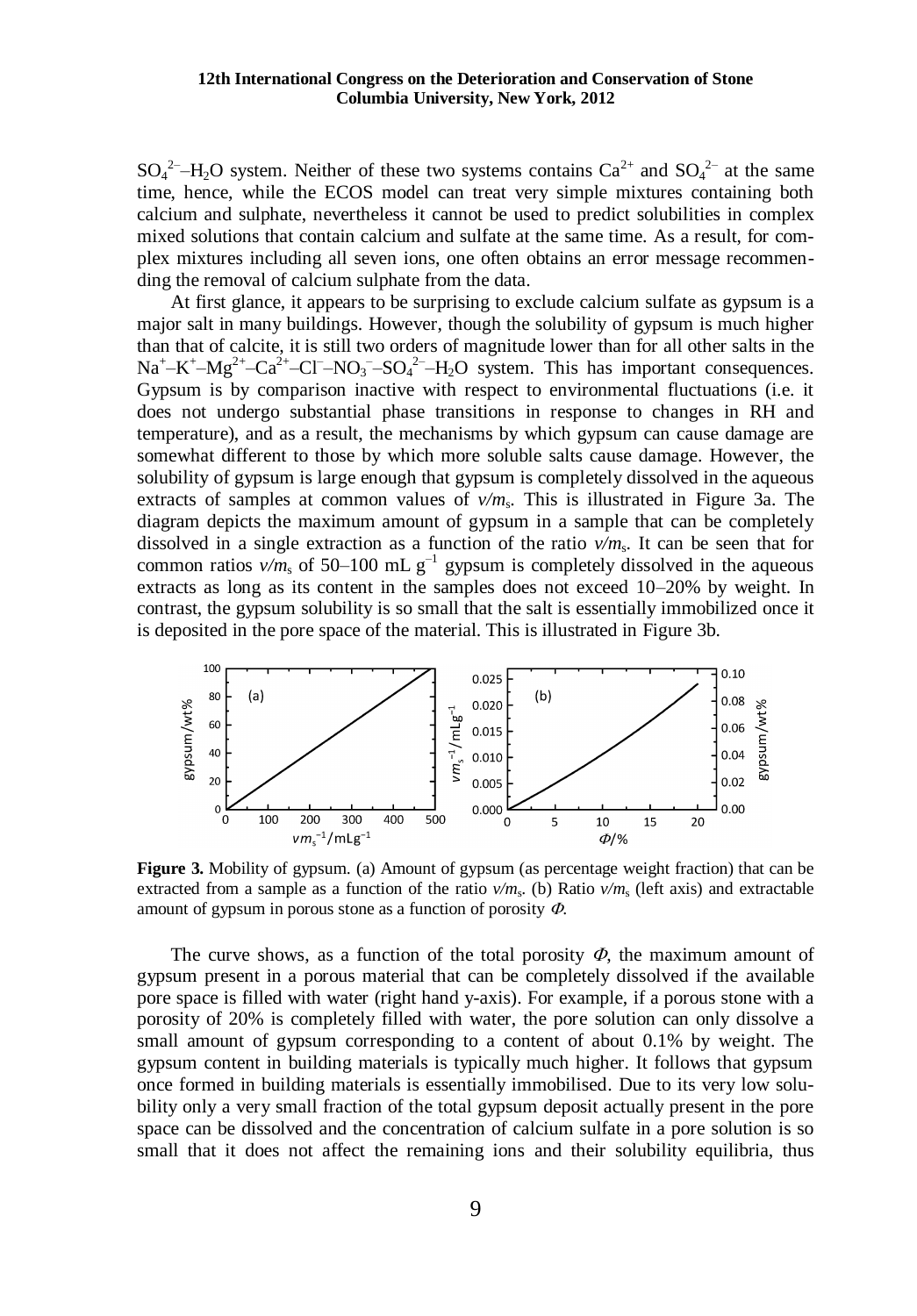$SO_4^2$ -H<sub>2</sub>O system. Neither of these two systems contains  $Ca^{2+}$  and  $SO_4^2$  at the same time, hence, while the ECOS model can treat very simple mixtures containing both calcium and sulphate, nevertheless it cannot be used to predict solubilities in complex mixed solutions that contain calcium and sulfate at the same time. As a result, for complex mixtures including all seven ions, one often obtains an error message recommending the removal of calcium sulphate from the data.

At first glance, it appears to be surprising to exclude calcium sulfate as gypsum is a major salt in many buildings. However, though the solubility of gypsum is much higher than that of calcite, it is still two orders of magnitude lower than for all other salts in the  $Na^+ - K^+ - Mg^{2+} - Ca^{2+} - Cl^- - NO_3^- - SO_4^{2-} - H_2O$  system. This has important consequences. Gypsum is by comparison inactive with respect to environmental fluctuations (i.e. it does not undergo substantial phase transitions in response to changes in RH and temperature), and as a result, the mechanisms by which gypsum can cause damage are somewhat different to those by which more soluble salts cause damage. However, the solubility of gypsum is large enough that gypsum is completely dissolved in the aqueous extracts of samples at common values of  $v/m_s$ . This is illustrated in Figure 3a. The diagram depicts the maximum amount of gypsum in a sample that can be completely dissolved in a single extraction as a function of the ratio *v/m*<sup>s</sup> . It can be seen that for common ratios  $v/m_s$  of 50–100 mL  $g^{-1}$  gypsum is completely dissolved in the aqueous extracts as long as its content in the samples does not exceed 10–20% by weight. In contrast, the gypsum solubility is so small that the salt is essentially immobilized once it is deposited in the pore space of the material. This is illustrated in Figure 3b.



**Figure 3.** Mobility of gypsum. (a) Amount of gypsum (as percentage weight fraction) that can be extracted from a sample as a function of the ratio  $v/m_s$ . (b) Ratio  $v/m_s$  (left axis) and extractable amount of gypsum in porous stone as a function of porosity  $\Phi$ .

The curve shows, as a function of the total porosity  $\Phi$ , the maximum amount of gypsum present in a porous material that can be completely dissolved if the available pore space is filled with water (right hand y-axis). For example, if a porous stone with a porosity of 20% is completely filled with water, the pore solution can only dissolve a small amount of gypsum corresponding to a content of about 0.1% by weight. The gypsum content in building materials is typically much higher. It follows that gypsum once formed in building materials is essentially immobilised. Due to its very low solubility only a very small fraction of the total gypsum deposit actually present in the pore space can be dissolved and the concentration of calcium sulfate in a pore solution is so small that it does not affect the remaining ions and their solubility equilibria, thus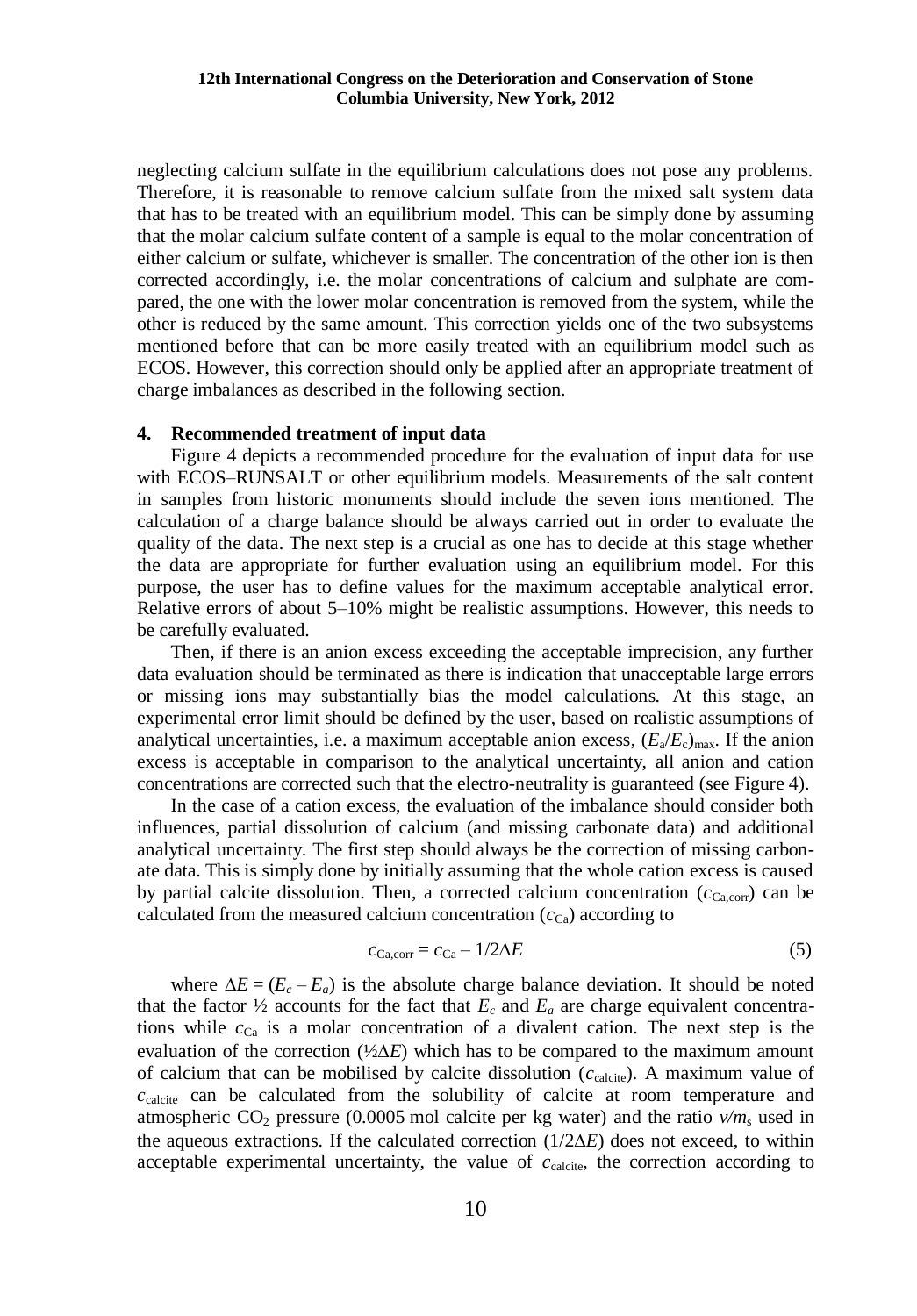neglecting calcium sulfate in the equilibrium calculations does not pose any problems. Therefore, it is reasonable to remove calcium sulfate from the mixed salt system data that has to be treated with an equilibrium model. This can be simply done by assuming that the molar calcium sulfate content of a sample is equal to the molar concentration of either calcium or sulfate, whichever is smaller. The concentration of the other ion is then corrected accordingly, i.e. the molar concentrations of calcium and sulphate are compared, the one with the lower molar concentration is removed from the system, while the other is reduced by the same amount. This correction yields one of the two subsystems mentioned before that can be more easily treated with an equilibrium model such as ECOS. However, this correction should only be applied after an appropriate treatment of charge imbalances as described in the following section.

### **4. Recommended treatment of input data**

Figure 4 depicts a recommended procedure for the evaluation of input data for use with ECOS–RUNSALT or other equilibrium models. Measurements of the salt content in samples from historic monuments should include the seven ions mentioned. The calculation of a charge balance should be always carried out in order to evaluate the quality of the data. The next step is a crucial as one has to decide at this stage whether the data are appropriate for further evaluation using an equilibrium model. For this purpose, the user has to define values for the maximum acceptable analytical error. Relative errors of about 5–10% might be realistic assumptions. However, this needs to be carefully evaluated.

Then, if there is an anion excess exceeding the acceptable imprecision, any further data evaluation should be terminated as there is indication that unacceptable large errors or missing ions may substantially bias the model calculations. At this stage, an experimental error limit should be defined by the user, based on realistic assumptions of analytical uncertainties, i.e. a maximum acceptable anion excess,  $(E_a/E_c)_{\text{max}}$ . If the anion excess is acceptable in comparison to the analytical uncertainty, all anion and cation concentrations are corrected such that the electro-neutrality is guaranteed (see Figure 4).

In the case of a cation excess, the evaluation of the imbalance should consider both influences, partial dissolution of calcium (and missing carbonate data) and additional analytical uncertainty. The first step should always be the correction of missing carbonate data. This is simply done by initially assuming that the whole cation excess is caused by partial calcite dissolution. Then, a corrected calcium concentration  $(c_{\text{Ca,corr}})$  can be calculated from the measured calcium concentration  $(c_{Ca})$  according to

$$
c_{\text{Ca,corr}} = c_{\text{Ca}} - 1/2\Delta E \tag{5}
$$

where  $\Delta E = (E_c - E_a)$  is the absolute charge balance deviation. It should be noted that the factor  $\frac{1}{2}$  accounts for the fact that  $E_c$  and  $E_a$  are charge equivalent concentrations while  $c_{Ca}$  is a molar concentration of a divalent cation. The next step is the evaluation of the correction  $(\frac{1}{2}\Delta E)$  which has to be compared to the maximum amount of calcium that can be mobilised by calcite dissolution  $(c_{\text{calcile}})$ . A maximum value of  $c_{\text{calculate}}$  can be calculated from the solubility of calcite at room temperature and atmospheric  $CO_2$  pressure (0.0005 mol calcite per kg water) and the ratio  $v/m_s$  used in the aqueous extractions. If the calculated correction  $(1/2\Delta E)$  does not exceed, to within acceptable experimental uncertainty, the value of  $c_{\text{calcite}}$ , the correction according to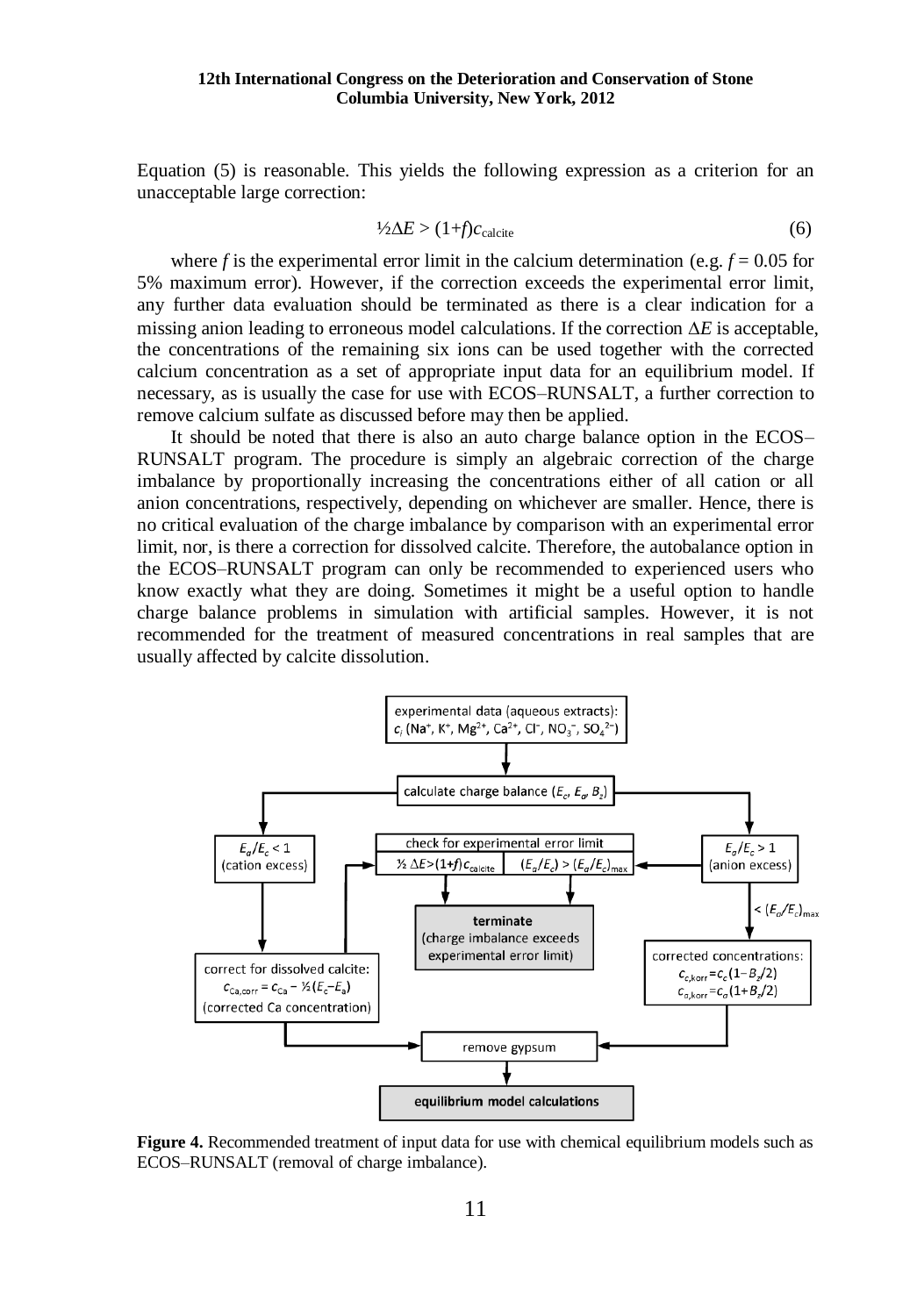### **12th International Congress on the Deterioration and Conservation of Stone Columbia University, New York, 2012**

Equation (5) is reasonable. This yields the following expression as a criterion for an unacceptable large correction:

$$
\frac{1}{2}\Delta E > (1+f)c_{\text{calculate}} \tag{6}
$$

where *f* is the experimental error limit in the calcium determination (e.g.  $f = 0.05$  for 5% maximum error). However, if the correction exceeds the experimental error limit, any further data evaluation should be terminated as there is a clear indication for a missing anion leading to erroneous model calculations. If the correction  $\Delta E$  is acceptable, the concentrations of the remaining six ions can be used together with the corrected calcium concentration as a set of appropriate input data for an equilibrium model. If necessary, as is usually the case for use with ECOS–RUNSALT, a further correction to remove calcium sulfate as discussed before may then be applied.

It should be noted that there is also an auto charge balance option in the ECOS– RUNSALT program. The procedure is simply an algebraic correction of the charge imbalance by proportionally increasing the concentrations either of all cation or all anion concentrations, respectively, depending on whichever are smaller. Hence, there is no critical evaluation of the charge imbalance by comparison with an experimental error limit, nor, is there a correction for dissolved calcite. Therefore, the autobalance option in the ECOS–RUNSALT program can only be recommended to experienced users who know exactly what they are doing. Sometimes it might be a useful option to handle charge balance problems in simulation with artificial samples. However, it is not recommended for the treatment of measured concentrations in real samples that are usually affected by calcite dissolution.



**Figure 4.** Recommended treatment of input data for use with chemical equilibrium models such as ECOS–RUNSALT (removal of charge imbalance).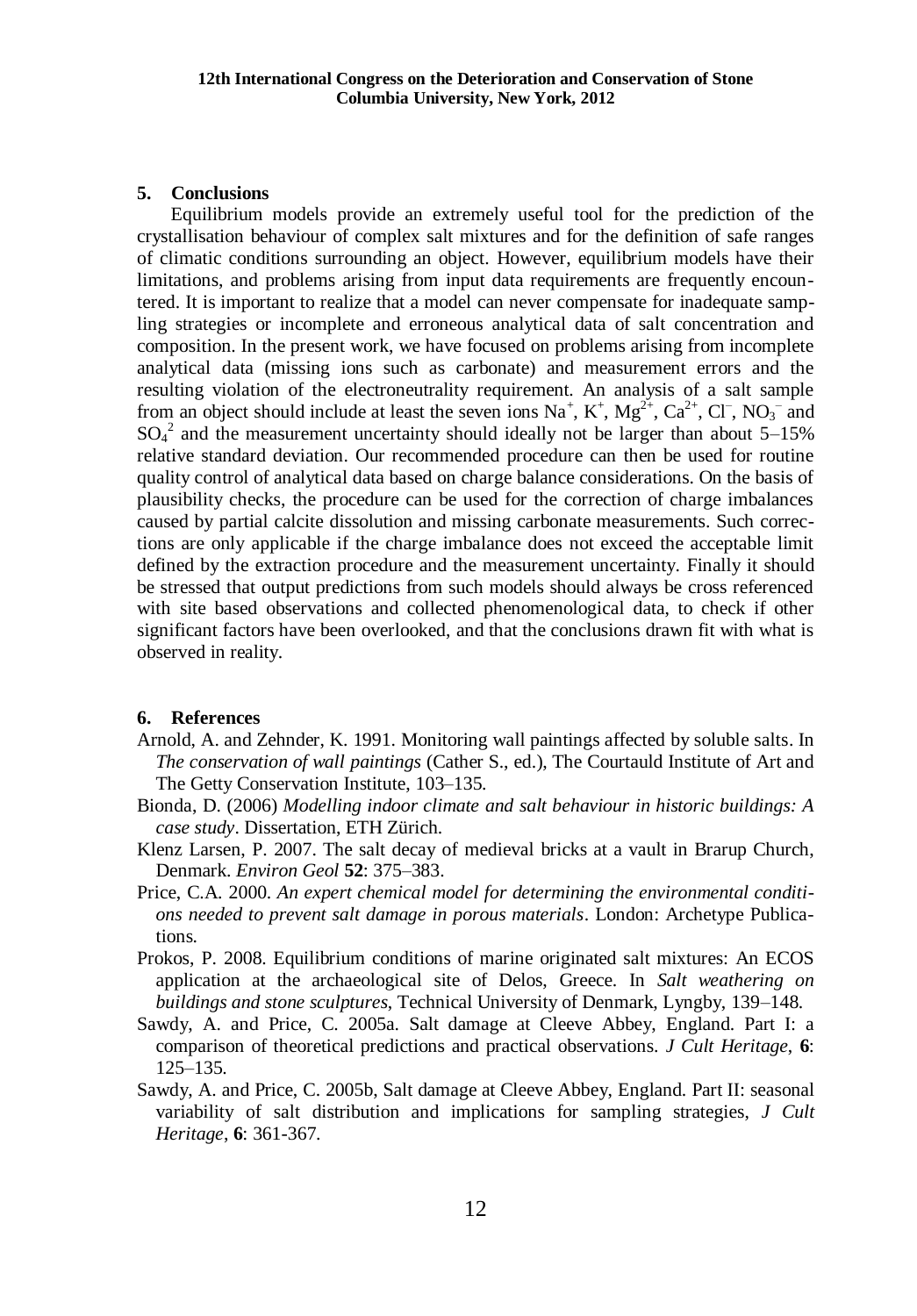# **5. Conclusions**

Equilibrium models provide an extremely useful tool for the prediction of the crystallisation behaviour of complex salt mixtures and for the definition of safe ranges of climatic conditions surrounding an object. However, equilibrium models have their limitations, and problems arising from input data requirements are frequently encountered. It is important to realize that a model can never compensate for inadequate sampling strategies or incomplete and erroneous analytical data of salt concentration and composition. In the present work, we have focused on problems arising from incomplete analytical data (missing ions such as carbonate) and measurement errors and the resulting violation of the electroneutrality requirement. An analysis of a salt sample from an object should include at least the seven ions  $Na^+$ ,  $K^+$ ,  $Mg^{2+}$ ,  $Ca^{2+}$ ,  $Cl^-$ ,  $NO_3^-$  and  $SO_4^2$  and the measurement uncertainty should ideally not be larger than about 5–15% relative standard deviation. Our recommended procedure can then be used for routine quality control of analytical data based on charge balance considerations. On the basis of plausibility checks, the procedure can be used for the correction of charge imbalances caused by partial calcite dissolution and missing carbonate measurements. Such corrections are only applicable if the charge imbalance does not exceed the acceptable limit defined by the extraction procedure and the measurement uncertainty. Finally it should be stressed that output predictions from such models should always be cross referenced with site based observations and collected phenomenological data, to check if other significant factors have been overlooked, and that the conclusions drawn fit with what is observed in reality.

### **6. References**

- Arnold, A. and Zehnder, K. 1991. Monitoring wall paintings affected by soluble salts. In *The conservation of wall paintings* (Cather S., ed.), The Courtauld Institute of Art and The Getty Conservation Institute, 103–135.
- Bionda, D. (2006) *Modelling indoor climate and salt behaviour in historic buildings: A case study*. Dissertation, ETH Zürich.
- Klenz Larsen, P. 2007. The salt decay of medieval bricks at a vault in Brarup Church, Denmark. *Environ Geol* **52**: 375–383.
- Price, C.A. 2000. *An expert chemical model for determining the environmental conditions needed to prevent salt damage in porous materials*. London: Archetype Publications.
- Prokos, P. 2008. Equilibrium conditions of marine originated salt mixtures: An ECOS application at the archaeological site of Delos, Greece. In *Salt weathering on buildings and stone sculptures*, Technical University of Denmark, Lyngby, 139–148.
- Sawdy, A. and Price, C. 2005a. Salt damage at Cleeve Abbey, England. Part I: a comparison of theoretical predictions and practical observations. *J Cult Heritage*, **6**: 125–135.
- Sawdy, A. and Price, C. 2005b, Salt damage at Cleeve Abbey, England. Part II: seasonal variability of salt distribution and implications for sampling strategies, *J Cult Heritage*, **6**: 361-367.